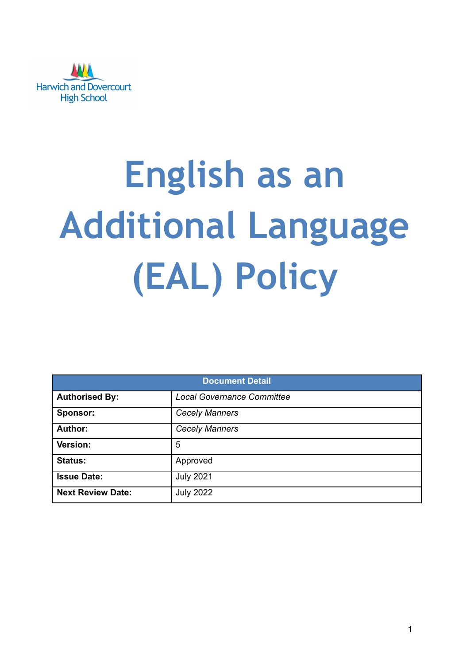

# **English as an Additional Language (EAL) Policy**

| <b>Document Detail</b>   |                                   |  |  |  |
|--------------------------|-----------------------------------|--|--|--|
| <b>Authorised By:</b>    | <b>Local Governance Committee</b> |  |  |  |
| Sponsor:                 | <b>Cecely Manners</b>             |  |  |  |
| <b>Author:</b>           | <b>Cecely Manners</b>             |  |  |  |
| Version:                 | 5                                 |  |  |  |
| <b>Status:</b>           | Approved                          |  |  |  |
| <b>Issue Date:</b>       | <b>July 2021</b>                  |  |  |  |
| <b>Next Review Date:</b> | <b>July 2022</b>                  |  |  |  |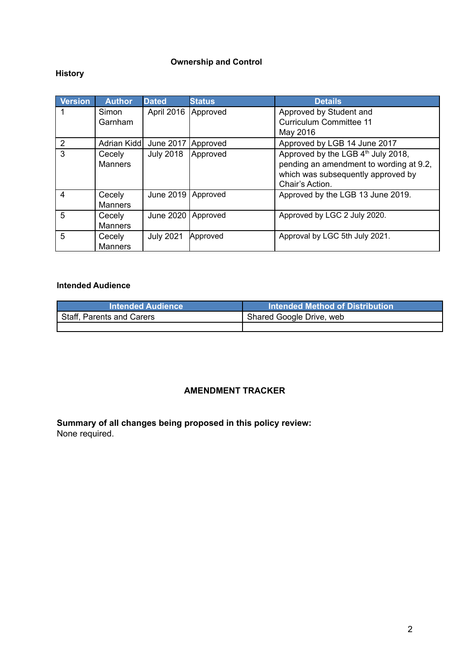## **Ownership and Control**

## **History**

| <b>Version</b> | <b>Author</b>  | <b>Dated</b>                   | <b>Status</b> | <b>Details</b>                          |
|----------------|----------------|--------------------------------|---------------|-----------------------------------------|
|                | Simon          | April 2016                     | Approved      | Approved by Student and                 |
|                | Garnham        |                                |               | <b>Curriculum Committee 11</b>          |
|                |                |                                |               | May 2016                                |
| 2              |                | Adrian Kidd June 2017 Approved |               | Approved by LGB 14 June 2017            |
| 3              | Cecely         | <b>July 2018</b>               | Approved      | Approved by the LGB 4th July 2018,      |
|                | <b>Manners</b> |                                |               | pending an amendment to wording at 9.2, |
|                |                |                                |               | which was subsequently approved by      |
|                |                |                                |               | Chair's Action.                         |
| 4              | Cecely         | June 2019                      | Approved      | Approved by the LGB 13 June 2019.       |
|                | <b>Manners</b> |                                |               |                                         |
| 5              | Cecely         | June 2020                      | Approved      | Approved by LGC 2 July 2020.            |
|                | <b>Manners</b> |                                |               |                                         |
| 5              | Cecely         | <b>July 2021</b>               | Approved      | Approval by LGC 5th July 2021.          |
|                | Manners        |                                |               |                                         |

### **Intended Audience**

| <b>Intended Audience</b>  | Intended Method of Distribution <b>i</b> |
|---------------------------|------------------------------------------|
| Staff, Parents and Carers | Shared Google Drive, web                 |
|                           |                                          |

### **AMENDMENT TRACKER**

**Summary of all changes being proposed in this policy review:** None required.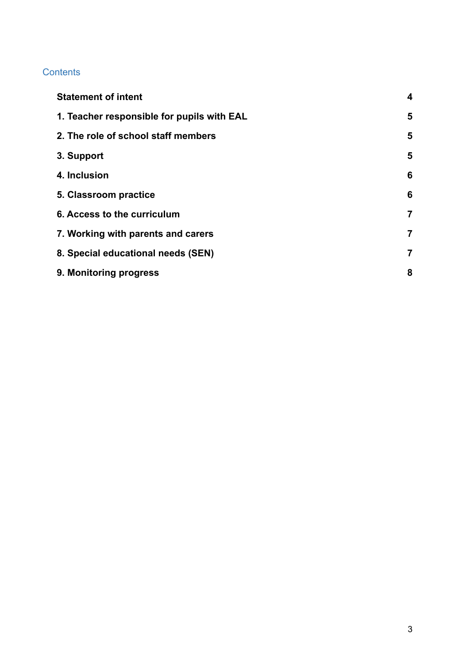# **Contents**

| <b>Statement of intent</b>                 | $\overline{\mathbf{4}}$ |
|--------------------------------------------|-------------------------|
| 1. Teacher responsible for pupils with EAL | 5                       |
| 2. The role of school staff members        | 5                       |
| 3. Support                                 | 5                       |
| 4. Inclusion                               | 6                       |
| 5. Classroom practice                      | 6                       |
| 6. Access to the curriculum                | $\overline{\mathbf{7}}$ |
| 7. Working with parents and carers         | $\overline{7}$          |
| 8. Special educational needs (SEN)         | 7                       |
| 9. Monitoring progress                     | 8                       |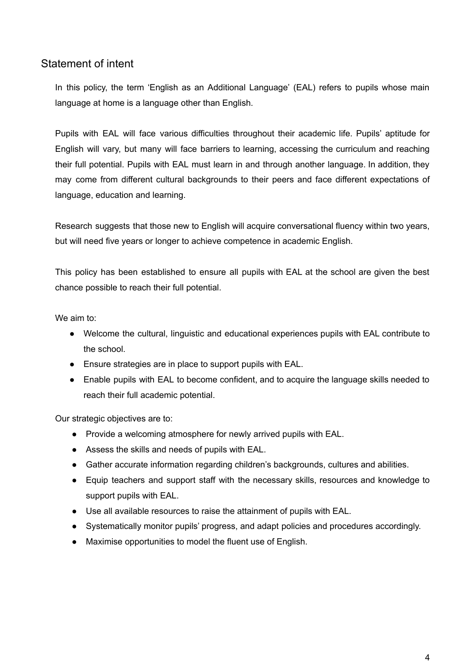# <span id="page-3-0"></span>Statement of intent

In this policy, the term 'English as an Additional Language' (EAL) refers to pupils whose main language at home is a language other than English.

Pupils with EAL will face various difficulties throughout their academic life. Pupils' aptitude for English will vary, but many will face barriers to learning, accessing the curriculum and reaching their full potential. Pupils with EAL must learn in and through another language. In addition, they may come from different cultural backgrounds to their peers and face different expectations of language, education and learning.

Research suggests that those new to English will acquire conversational fluency within two years, but will need five years or longer to achieve competence in academic English.

This policy has been established to ensure all pupils with EAL at the school are given the best chance possible to reach their full potential.

We aim to:

- Welcome the cultural, linguistic and educational experiences pupils with EAL contribute to the school.
- Ensure strategies are in place to support pupils with EAL.
- Enable pupils with EAL to become confident, and to acquire the language skills needed to reach their full academic potential.

Our strategic objectives are to:

- Provide a welcoming atmosphere for newly arrived pupils with EAL.
- Assess the skills and needs of pupils with EAL.
- Gather accurate information regarding children's backgrounds, cultures and abilities.
- Equip teachers and support staff with the necessary skills, resources and knowledge to support pupils with EAL.
- Use all available resources to raise the attainment of pupils with EAL.
- Systematically monitor pupils' progress, and adapt policies and procedures accordingly.
- Maximise opportunities to model the fluent use of English.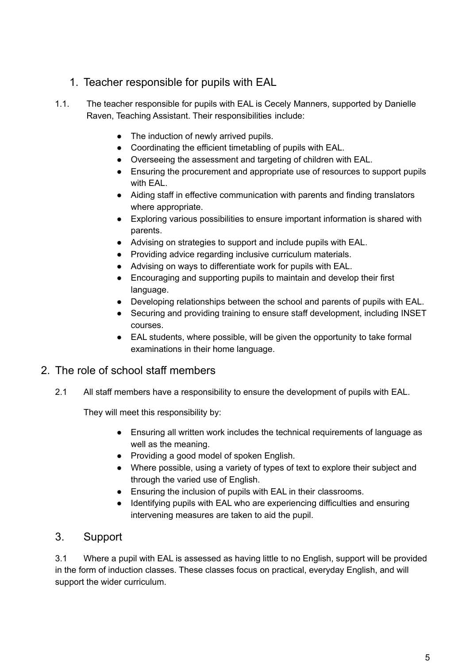- <span id="page-4-0"></span>1. Teacher responsible for pupils with EAL
- 1.1. The teacher responsible for pupils with EAL is Cecely Manners, supported by Danielle Raven, Teaching Assistant. Their responsibilities include:
	- The induction of newly arrived pupils.
	- Coordinating the efficient timetabling of pupils with EAL.
	- Overseeing the assessment and targeting of children with EAL.
	- Ensuring the procurement and appropriate use of resources to support pupils with EAL.
	- Aiding staff in effective communication with parents and finding translators where appropriate.
	- Exploring various possibilities to ensure important information is shared with parents.
	- Advising on strategies to support and include pupils with EAL.
	- Providing advice regarding inclusive curriculum materials.
	- Advising on ways to differentiate work for pupils with EAL.
	- Encouraging and supporting pupils to maintain and develop their first language.
	- Developing relationships between the school and parents of pupils with EAL.
	- Securing and providing training to ensure staff development, including INSET courses.
	- EAL students, where possible, will be given the opportunity to take formal examinations in their home language.
- <span id="page-4-1"></span>2. The role of school staff members
	- 2.1 All staff members have a responsibility to ensure the development of pupils with EAL.

They will meet this responsibility by:

- Ensuring all written work includes the technical requirements of language as well as the meaning.
- Providing a good model of spoken English.
- Where possible, using a variety of types of text to explore their subject and through the varied use of English.
- Ensuring the inclusion of pupils with EAL in their classrooms.
- Identifying pupils with EAL who are experiencing difficulties and ensuring intervening measures are taken to aid the pupil.

# <span id="page-4-2"></span>3. Support

3.1 Where a pupil with EAL is assessed as having little to no English, support will be provided in the form of induction classes. These classes focus on practical, everyday English, and will support the wider curriculum.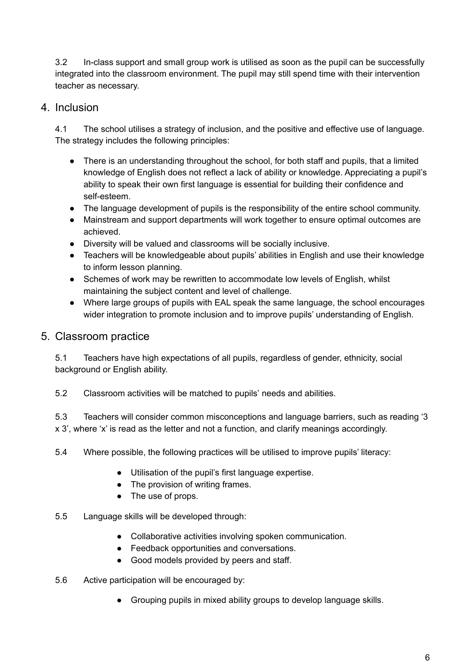3.2 In-class support and small group work is utilised as soon as the pupil can be successfully integrated into the classroom environment. The pupil may still spend time with their intervention teacher as necessary.

# <span id="page-5-0"></span>4. Inclusion

4.1 The school utilises a strategy of inclusion, and the positive and effective use of language. The strategy includes the following principles:

- There is an understanding throughout the school, for both staff and pupils, that a limited knowledge of English does not reflect a lack of ability or knowledge. Appreciating a pupil's ability to speak their own first language is essential for building their confidence and self-esteem.
- The language development of pupils is the responsibility of the entire school community.
- Mainstream and support departments will work together to ensure optimal outcomes are achieved.
- Diversity will be valued and classrooms will be socially inclusive.
- Teachers will be knowledgeable about pupils' abilities in English and use their knowledge to inform lesson planning.
- Schemes of work may be rewritten to accommodate low levels of English, whilst maintaining the subject content and level of challenge.
- Where large groups of pupils with EAL speak the same language, the school encourages wider integration to promote inclusion and to improve pupils' understanding of English.

# <span id="page-5-1"></span>5. Classroom practice

5.1 Teachers have high expectations of all pupils, regardless of gender, ethnicity, social background or English ability.

5.2 Classroom activities will be matched to pupils' needs and abilities.

5.3 Teachers will consider common misconceptions and language barriers, such as reading '3 x 3', where 'x' is read as the letter and not a function, and clarify meanings accordingly.

- 5.4 Where possible, the following practices will be utilised to improve pupils' literacy:
	- Utilisation of the pupil's first language expertise.
	- The provision of writing frames.
	- The use of props.
- 5.5 Language skills will be developed through:
	- Collaborative activities involving spoken communication.
	- Feedback opportunities and conversations.
	- Good models provided by peers and staff.
- 5.6 Active participation will be encouraged by:
	- Grouping pupils in mixed ability groups to develop language skills.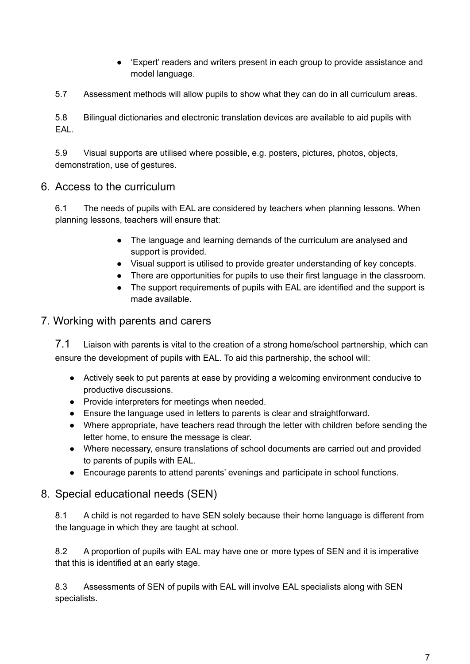- 'Expert' readers and writers present in each group to provide assistance and model language.
- 5.7 Assessment methods will allow pupils to show what they can do in all curriculum areas.

5.8 Bilingual dictionaries and electronic translation devices are available to aid pupils with EAL.

5.9 Visual supports are utilised where possible, e.g. posters, pictures, photos, objects, demonstration, use of gestures.

# <span id="page-6-0"></span>6. Access to the curriculum

6.1 The needs of pupils with EAL are considered by teachers when planning lessons. When planning lessons, teachers will ensure that:

- The language and learning demands of the curriculum are analysed and support is provided.
- Visual support is utilised to provide greater understanding of key concepts.
- There are opportunities for pupils to use their first language in the classroom.
- The support requirements of pupils with EAL are identified and the support is made available.

## <span id="page-6-1"></span>7. Working with parents and carers

7.1 Liaison with parents is vital to the creation of a strong home/school partnership, which can ensure the development of pupils with EAL. To aid this partnership, the school will:

- Actively seek to put parents at ease by providing a welcoming environment conducive to productive discussions.
- Provide interpreters for meetings when needed.
- Ensure the language used in letters to parents is clear and straightforward.
- Where appropriate, have teachers read through the letter with children before sending the letter home, to ensure the message is clear.
- Where necessary, ensure translations of school documents are carried out and provided to parents of pupils with EAL.
- Encourage parents to attend parents' evenings and participate in school functions.

## <span id="page-6-2"></span>8. Special educational needs (SEN)

8.1 A child is not regarded to have SEN solely because their home language is different from the language in which they are taught at school.

8.2 A proportion of pupils with EAL may have one or more types of SEN and it is imperative that this is identified at an early stage.

8.3 Assessments of SEN of pupils with EAL will involve EAL specialists along with SEN specialists.